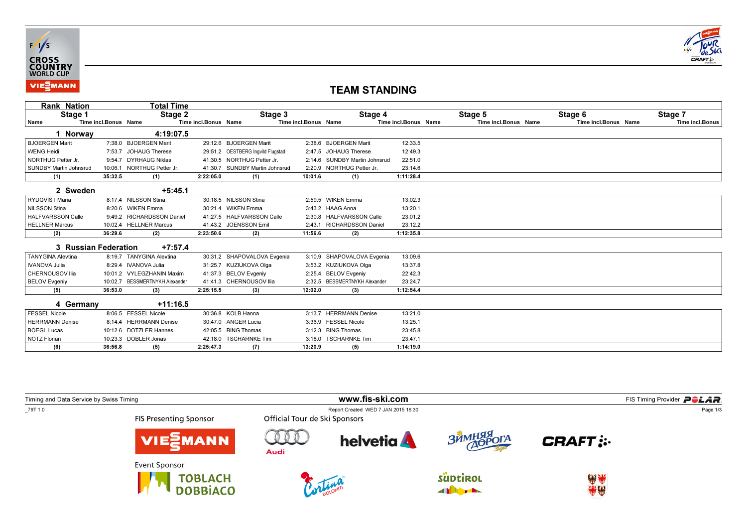



## TEAM STANDING

| <b>Rank Nation</b>            |                      | Total Time                     |                      |                                   |                      |                               |                      |                      |                      |                 |
|-------------------------------|----------------------|--------------------------------|----------------------|-----------------------------------|----------------------|-------------------------------|----------------------|----------------------|----------------------|-----------------|
| Stage 1                       |                      | Stage 2                        |                      | Stage 3                           |                      | Stage 4                       |                      | Stage 5              | Stage 6              | Stage 7         |
| Name                          | Time incl.Bonus Name |                                | Time incl.Bonus Name |                                   | Time incl.Bonus Name |                               | Time incl.Bonus Name | Time incl.Bonus Name | Time incl.Bonus Name | Time incl.Bonus |
| 1 Norway                      |                      | 4:19:07.5                      |                      |                                   |                      |                               |                      |                      |                      |                 |
| <b>BJOERGEN Marit</b>         |                      | 7:38.0 BJOERGEN Marit          |                      | 29:12.6 BJOERGEN Marit            |                      | 2:38.6 BJOERGEN Marit         | 12:33.5              |                      |                      |                 |
| <b>WENG Heidi</b>             |                      | 7:53.7 JOHAUG Therese          |                      | 29:51.2 OESTBERG Ingvild Flugstad |                      | 2:47.5 JOHAUG Therese         | 12:49.3              |                      |                      |                 |
| NORTHUG Petter Jr.            |                      | 9:54.7 DYRHAUG Niklas          |                      | 41:30.5 NORTHUG Petter Jr.        |                      | 2:14.6 SUNDBY Martin Johnsrud | 22:51.0              |                      |                      |                 |
| <b>SUNDBY Martin Johnsrud</b> | 10:06.1              | NORTHUG Petter Jr.             |                      | 41:30.7 SUNDBY Martin Johnsrud    |                      | 2:20.9 NORTHUG Petter Jr.     | 23:14.6              |                      |                      |                 |
| (1)                           | 35:32.5              | (1)                            | 2:22:05.0            | (1)                               | 10:01.6              | (1)                           | 1:11:28.4            |                      |                      |                 |
| 2 Sweden                      |                      | $+5:45.1$                      |                      |                                   |                      |                               |                      |                      |                      |                 |
| RYDQVIST Maria                |                      | 8:17.4 NILSSON Stina           |                      | 30:18.5 NILSSON Stina             |                      | 2:59.5 WIKEN Emma             | 13:02.3              |                      |                      |                 |
| <b>NILSSON Stina</b>          |                      | 8:20.6 WIKEN Emma              |                      | 30:21.4 WIKEN Emma                |                      | 3:43.2 HAAG Anna              | 13:20.1              |                      |                      |                 |
| <b>HALFVARSSON Calle</b>      |                      | 9:49.2 RICHARDSSON Daniel      |                      | 41:27.5 HALFVARSSON Calle         |                      | 2:30.8 HALFVARSSON Calle      | 23:01.2              |                      |                      |                 |
| <b>HELLNER Marcus</b>         |                      | 10:02.4 HELLNER Marcus         |                      | 41:43.2 JOENSSON Emil             |                      | 2:43.1 RICHARDSSON Daniel     | 23:12.2              |                      |                      |                 |
| (2)                           | 36:29.6              | (2)                            | 2:23:50.6            | (2)                               | 11:56.6              | (2)                           | 1:12:35.8            |                      |                      |                 |
| 3 Russian Federation          |                      | $+7:57.4$                      |                      |                                   |                      |                               |                      |                      |                      |                 |
| <b>TANYGINA Alevtina</b>      |                      | 8:19.7 TANYGINA Alevtina       |                      | 30:31.2 SHAPOVALOVA Evgenia       |                      | 3:10.9 SHAPOVALOVA Evgenia    | 13:09.6              |                      |                      |                 |
| <b>IVANOVA Julia</b>          |                      | 8:29.4 IVANOVA Julia           |                      | 31:25.7 KUZIUKOVA Olga            |                      | 3:53.2 KUZIUKOVA Olga         | 13:37.8              |                      |                      |                 |
| CHERNOUSOV Ilia               |                      | 10:01.2 VYLEGZHANIN Maxim      |                      | 41:37.3 BELOV Evgeniv             |                      | 2:25.4 BELOV Evgeniy          | 22:42.3              |                      |                      |                 |
| <b>BELOV Evgeniy</b>          |                      | 10:02.7 BESSMERTNYKH Alexander |                      | 41:41.3 CHERNOUSOV Ilia           |                      | 2:32.5 BESSMERTNYKH Alexander | 23:24.7              |                      |                      |                 |
| (5)                           | 36:53.0              | (3)                            | 2:25:15.5            | (3)                               | 12:02.0              | (3)                           | 1:12:54.4            |                      |                      |                 |
| 4 Germany                     |                      | $+11:16.5$                     |                      |                                   |                      |                               |                      |                      |                      |                 |
| <b>FESSEL Nicole</b>          |                      | 8:06.5 FESSEL Nicole           |                      | 30:36.8 KOLB Hanna                | 3:13.7               | <b>HERRMANN Denise</b>        | 13:21.0              |                      |                      |                 |
| <b>HERRMANN Denise</b>        |                      | 8:14.4 HERRMANN Denise         |                      | 30:47.0 ANGER Lucia               |                      | 3:36.9 FESSEL Nicole          | 13:25.1              |                      |                      |                 |
| <b>BOEGL Lucas</b>            |                      | 10:12.6 DOTZLER Hannes         |                      | 42:05.5 BING Thomas               |                      | 3:12.3 BING Thomas            | 23:45.8              |                      |                      |                 |
| <b>NOTZ Florian</b>           |                      | 10:23.3 DOBLER Jonas           |                      | 42:18.0 TSCHARNKE Tim             |                      | 3:18.0 TSCHARNKE Tim          | 23:47.1              |                      |                      |                 |
| (6)                           | 36:56.8              | (5)                            | 2:25:47.3            | (7)                               | 13:20.9              | (5)                           | 1:14:19.0            |                      |                      |                 |

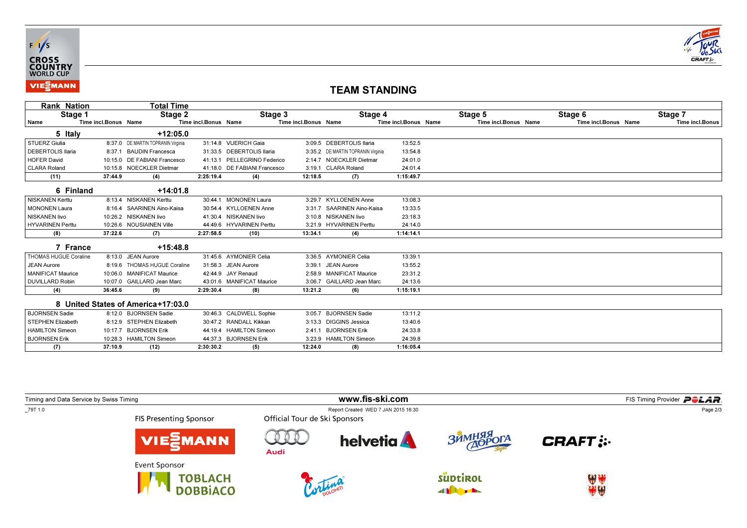



## TEAM STANDING

| Rank Nation              |                      | Total Time                         |                      |                              |                      |                                    |                      |                      |                      |                        |
|--------------------------|----------------------|------------------------------------|----------------------|------------------------------|----------------------|------------------------------------|----------------------|----------------------|----------------------|------------------------|
| Stage 1                  |                      | Stage 2                            |                      | Stage 3                      |                      | Stage 4                            |                      | Stage 5              | Stage 6              | Stage 7                |
| Name                     | Time incl.Bonus Name |                                    | Time incl.Bonus Name |                              | Time incl.Bonus Name |                                    | Time incl.Bonus Name | Time incl.Bonus Name | Time incl.Bonus Name | <b>Time incl.Bonus</b> |
| 5 Italy                  |                      | $+12:05.0$                         |                      |                              |                      |                                    |                      |                      |                      |                        |
| STUERZ Giulia            |                      | 8:37.0 DE MARTIN TOPRANIN Virginia |                      | 31:14.8 VUERICH Gaia         |                      | 3:09.5 DEBERTOLIS Ilaria           | 13:52.5              |                      |                      |                        |
| <b>DEBERTOLIS Ilaria</b> | 8:37.1               | <b>BAUDIN Francesca</b>            |                      | 31:33.5 DEBERTOLIS Ilaria    |                      | 3:35.2 DE MARTIN TOPRANIN Virginia | 13:54.8              |                      |                      |                        |
| <b>HOFER David</b>       |                      | 10:15.0 DE FABIANI Francesco       |                      | 41:13.1 PELLEGRINO Federico  |                      | 2:14.7 NOECKLER Dietmar            | 24:01.0              |                      |                      |                        |
| <b>CLARA Roland</b>      |                      | 10:15.8 NOECKLER Dietmar           |                      | 41:18.0 DE FABIANI Francesco |                      | 3:19.1 CLARA Roland                | 24:01.4              |                      |                      |                        |
| (11)                     | 37:44.9              | (4)                                | 2:25:19.4            | (4)                          | 12:18.5              | (7)                                | 1:15:49.7            |                      |                      |                        |
| 6 Finland                |                      | $+14:01.8$                         |                      |                              |                      |                                    |                      |                      |                      |                        |
| <b>NISKANEN Kerttu</b>   |                      | 8:13.4 NISKANEN Kerttu             |                      | 30:44.1 MONONEN Laura        |                      | 3:29.7 KYLLOENEN Anne              | 13:08.3              |                      |                      |                        |
| <b>MONONEN Laura</b>     |                      | 8:16.4 SAARINEN Aino-Kaisa         |                      | 30:54.4 KYLLOENEN Anne       |                      | 3:31.7 SAARINEN Aino-Kaisa         | 13:33.5              |                      |                      |                        |
| <b>NISKANEN livo</b>     |                      | 10:26.2 NISKANEN livo              |                      | 41:30.4 NISKANEN livo        |                      | 3:10.8 NISKANEN livo               | 23:18.3              |                      |                      |                        |
| <b>HYVARINEN Perttu</b>  |                      | 10:26.6 NOUSIAINEN Ville           |                      | 44:49.6 HYVARINEN Perttu     |                      | 3:21.9 HYVARINEN Perttu            | 24:14.0              |                      |                      |                        |
| (8)                      | 37:22.6              | (7)                                | 2:27:58.5            | (10)                         | 13:34.1              | (4)                                | 1:14:14.1            |                      |                      |                        |
| 7 France                 |                      | $+15:48.8$                         |                      |                              |                      |                                    |                      |                      |                      |                        |
| THOMAS HUGUE Coraline    |                      | 8:13.0 JEAN Aurore                 |                      | 31:45.6 AYMONIER Celia       |                      | 3:36.5 AYMONIER Celia              | 13:39.1              |                      |                      |                        |
| <b>JEAN Aurore</b>       |                      | 8:19.6 THOMAS HUGUE Coraline       |                      | 31:58.3 JEAN Aurore          |                      | 3:39.1 JEAN Aurore                 | 13:55.2              |                      |                      |                        |
| <b>MANIFICAT Maurice</b> |                      | 10:06.0 MANIFICAT Maurice          |                      | 42:44.9 JAY Renaud           |                      | 2:58.9 MANIFICAT Maurice           | 23:31.2              |                      |                      |                        |
| <b>DUVILLARD Robin</b>   |                      | 10:07.0 GAILLARD Jean Marc         |                      | 43:01.6 MANIFICAT Maurice    |                      | 3:06.7 GAILLARD Jean Marc          | 24:13.6              |                      |                      |                        |
| (4)                      | 36:45.6              | (9)                                | 2:29:30.4            | (8)                          | 13:21.2              | (6)                                | 1:15:19.1            |                      |                      |                        |
|                          |                      | 8 United States of America+17:03.0 |                      |                              |                      |                                    |                      |                      |                      |                        |
| <b>BJORNSEN Sadie</b>    |                      | 8:12.0 BJORNSEN Sadie              |                      | 30:46.3 CALDWELL Sophie      | 3:05.7               | <b>BJORNSEN Sadie</b>              | 13:11.2              |                      |                      |                        |
| <b>STEPHEN Elizabeth</b> |                      | 8:12.9 STEPHEN Elizabeth           |                      | 30:47.2 RANDALL Kikkan       |                      | 3:13.3 DIGGINS Jessica             | 13:40.6              |                      |                      |                        |
| <b>HAMILTON Simeon</b>   |                      | 10:17.7 BJORNSEN Erik              |                      | 44:19.4 HAMILTON Simeon      | 2:41.1               | <b>BJORNSEN Erik</b>               | 24:33.8              |                      |                      |                        |
| <b>BJORNSEN Erik</b>     |                      | 10:28.3 HAMILTON Simeon            |                      | 44:37.3 BJORNSEN Erik        |                      | 3:23.9 HAMILTON Simeon             | 24:39.8              |                      |                      |                        |
| (7)                      | 37:10.9              | (12)                               | 2:30:30.2            | (5)                          | 12:24.0              | (8)                                | 1:16:05.4            |                      |                      |                        |